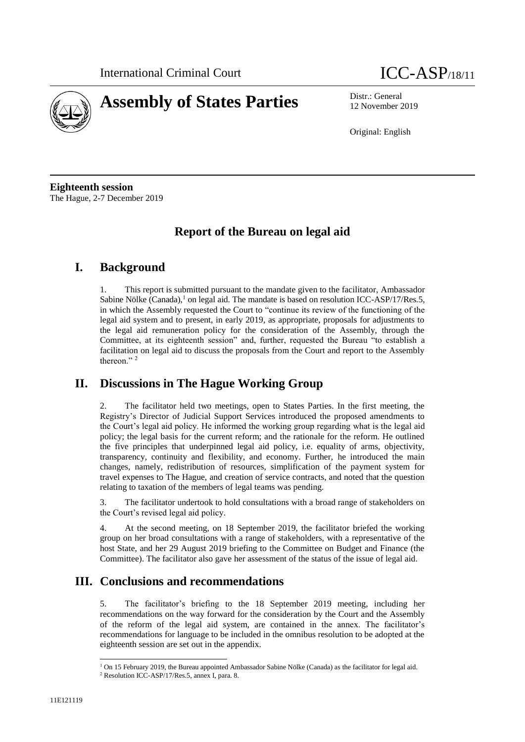



12 November 2019

Original: English

**Eighteenth session** The Hague, 2-7 December 2019

# **Report of the Bureau on legal aid**

## **I. Background**

This report is submitted pursuant to the mandate given to the facilitator, Ambassador Sabine Nölke  $(Canada)$ ,<sup>1</sup> on legal aid. The mandate is based on resolution ICC-ASP/17/Res.5, in which the Assembly requested the Court to "continue its review of the functioning of the legal aid system and to present, in early 2019, as appropriate, proposals for adjustments to the legal aid remuneration policy for the consideration of the Assembly, through the Committee, at its eighteenth session" and, further, requested the Bureau "to establish a facilitation on legal aid to discuss the proposals from the Court and report to the Assembly thereon."<sup>2</sup>

# **II. Discussions in The Hague Working Group**

2. The facilitator held two meetings, open to States Parties. In the first meeting, the Registry's Director of Judicial Support Services introduced the proposed amendments to the Court's legal aid policy. He informed the working group regarding what is the legal aid policy; the legal basis for the current reform; and the rationale for the reform. He outlined the five principles that underpinned legal aid policy, i.e. equality of arms, objectivity, transparency, continuity and flexibility, and economy. Further, he introduced the main changes, namely, redistribution of resources, simplification of the payment system for travel expenses to The Hague, and creation of service contracts, and noted that the question relating to taxation of the members of legal teams was pending.

3. The facilitator undertook to hold consultations with a broad range of stakeholders on the Court's revised legal aid policy.

4. At the second meeting, on 18 September 2019, the facilitator briefed the working group on her broad consultations with a range of stakeholders, with a representative of the host State, and her 29 August 2019 briefing to the Committee on Budget and Finance (the Committee). The facilitator also gave her assessment of the status of the issue of legal aid.

## **III. Conclusions and recommendations**

5. The facilitator's briefing to the 18 September 2019 meeting, including her recommendations on the way forward for the consideration by the Court and the Assembly of the reform of the legal aid system, are contained in the annex. The facilitator's recommendations for language to be included in the omnibus resolution to be adopted at the eighteenth session are set out in the appendix.

 $\overline{\phantom{a}}$ 

<sup>&</sup>lt;sup>1</sup> On 15 February 2019, the Bureau appointed Ambassador Sabine Nölke (Canada) as the facilitator for legal aid.

<sup>2</sup> Resolution ICC-ASP/17/Res.5, annex I, para. 8.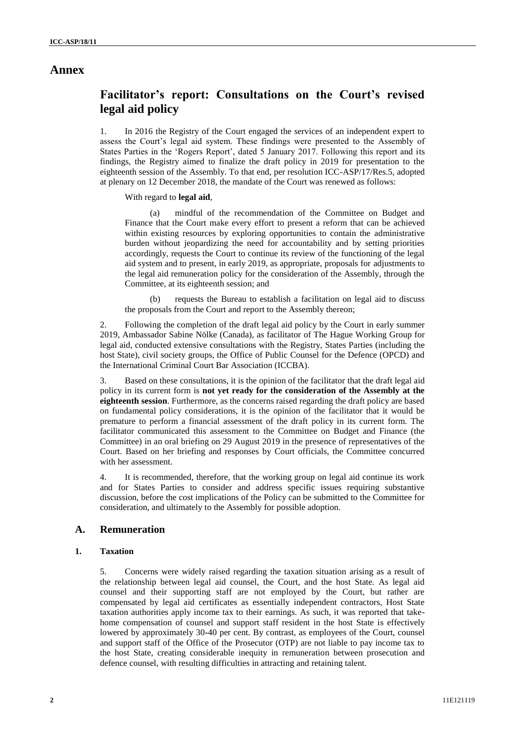## **Annex**

## **Facilitator's report: Consultations on the Court's revised legal aid policy**

1. In 2016 the Registry of the Court engaged the services of an independent expert to assess the Court's legal aid system. These findings were presented to the Assembly of States Parties in the 'Rogers Report', dated 5 January 2017. Following this report and its findings, the Registry aimed to finalize the draft policy in 2019 for presentation to the eighteenth session of the Assembly. To that end, per resolution ICC-ASP/17/Res.5, adopted at plenary on 12 December 2018, the mandate of the Court was renewed as follows:

With regard to **legal aid**,

(a) mindful of the recommendation of the Committee on Budget and Finance that the Court make every effort to present a reform that can be achieved within existing resources by exploring opportunities to contain the administrative burden without jeopardizing the need for accountability and by setting priorities accordingly, requests the Court to continue its review of the functioning of the legal aid system and to present, in early 2019, as appropriate, proposals for adjustments to the legal aid remuneration policy for the consideration of the Assembly, through the Committee, at its eighteenth session; and

requests the Bureau to establish a facilitation on legal aid to discuss the proposals from the Court and report to the Assembly thereon;

2. Following the completion of the draft legal aid policy by the Court in early summer 2019, Ambassador Sabine Nölke (Canada), as facilitator of The Hague Working Group for legal aid, conducted extensive consultations with the Registry, States Parties (including the host State), civil society groups, the Office of Public Counsel for the Defence (OPCD) and the International Criminal Court Bar Association (ICCBA).

3. Based on these consultations, it is the opinion of the facilitator that the draft legal aid policy in its current form is **not yet ready for the consideration of the Assembly at the eighteenth session**. Furthermore, as the concerns raised regarding the draft policy are based on fundamental policy considerations, it is the opinion of the facilitator that it would be premature to perform a financial assessment of the draft policy in its current form. The facilitator communicated this assessment to the Committee on Budget and Finance (the Committee) in an oral briefing on 29 August 2019 in the presence of representatives of the Court. Based on her briefing and responses by Court officials, the Committee concurred with her assessment.

4. It is recommended, therefore, that the working group on legal aid continue its work and for States Parties to consider and address specific issues requiring substantive discussion, before the cost implications of the Policy can be submitted to the Committee for consideration, and ultimately to the Assembly for possible adoption.

### **A. Remuneration**

#### **1. Taxation**

5. Concerns were widely raised regarding the taxation situation arising as a result of the relationship between legal aid counsel, the Court, and the host State. As legal aid counsel and their supporting staff are not employed by the Court, but rather are compensated by legal aid certificates as essentially independent contractors, Host State taxation authorities apply income tax to their earnings. As such, it was reported that takehome compensation of counsel and support staff resident in the host State is effectively lowered by approximately 30**-**40 per cent. By contrast, as employees of the Court, counsel and support staff of the Office of the Prosecutor (OTP) are not liable to pay income tax to the host State, creating considerable inequity in remuneration between prosecution and defence counsel, with resulting difficulties in attracting and retaining talent.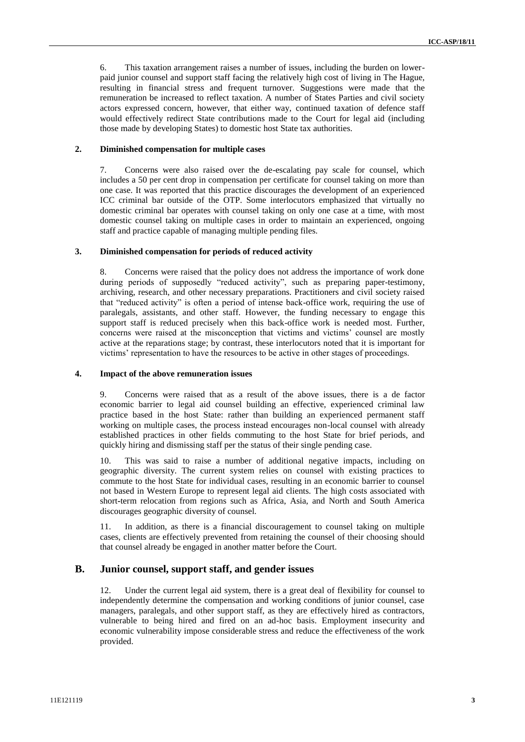6. This taxation arrangement raises a number of issues, including the burden on lowerpaid junior counsel and support staff facing the relatively high cost of living in The Hague, resulting in financial stress and frequent turnover. Suggestions were made that the remuneration be increased to reflect taxation. A number of States Parties and civil society actors expressed concern, however, that either way, continued taxation of defence staff would effectively redirect State contributions made to the Court for legal aid (including those made by developing States) to domestic host State tax authorities.

#### **2. Diminished compensation for multiple cases**

7. Concerns were also raised over the de-escalating pay scale for counsel, which includes a 50 per cent drop in compensation per certificate for counsel taking on more than one case. It was reported that this practice discourages the development of an experienced ICC criminal bar outside of the OTP. Some interlocutors emphasized that virtually no domestic criminal bar operates with counsel taking on only one case at a time, with most domestic counsel taking on multiple cases in order to maintain an experienced, ongoing staff and practice capable of managing multiple pending files.

#### **3. Diminished compensation for periods of reduced activity**

8. Concerns were raised that the policy does not address the importance of work done during periods of supposedly "reduced activity", such as preparing paper-testimony, archiving, research, and other necessary preparations. Practitioners and civil society raised that "reduced activity" is often a period of intense back-office work, requiring the use of paralegals, assistants, and other staff. However, the funding necessary to engage this support staff is reduced precisely when this back-office work is needed most. Further, concerns were raised at the misconception that victims and victims' counsel are mostly active at the reparations stage; by contrast, these interlocutors noted that it is important for victims' representation to have the resources to be active in other stages of proceedings.

#### **4. Impact of the above remuneration issues**

9. Concerns were raised that as a result of the above issues, there is a de factor economic barrier to legal aid counsel building an effective, experienced criminal law practice based in the host State: rather than building an experienced permanent staff working on multiple cases, the process instead encourages non-local counsel with already established practices in other fields commuting to the host State for brief periods, and quickly hiring and dismissing staff per the status of their single pending case.

10. This was said to raise a number of additional negative impacts, including on geographic diversity. The current system relies on counsel with existing practices to commute to the host State for individual cases, resulting in an economic barrier to counsel not based in Western Europe to represent legal aid clients. The high costs associated with short**-**term relocation from regions such as Africa, Asia, and North and South America discourages geographic diversity of counsel.

11. In addition, as there is a financial discouragement to counsel taking on multiple cases, clients are effectively prevented from retaining the counsel of their choosing should that counsel already be engaged in another matter before the Court.

### **B. Junior counsel, support staff, and gender issues**

12. Under the current legal aid system, there is a great deal of flexibility for counsel to independently determine the compensation and working conditions of junior counsel, case managers, paralegals, and other support staff, as they are effectively hired as contractors, vulnerable to being hired and fired on an ad-hoc basis. Employment insecurity and economic vulnerability impose considerable stress and reduce the effectiveness of the work provided.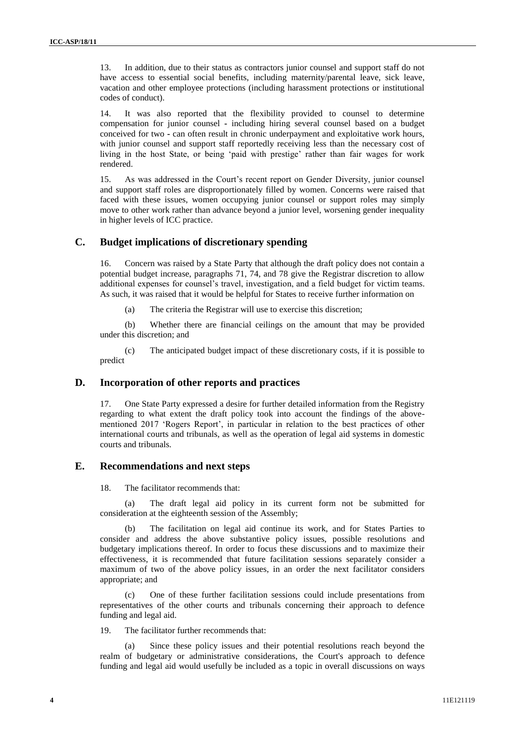13. In addition, due to their status as contractors junior counsel and support staff do not have access to essential social benefits, including maternity/parental leave, sick leave, vacation and other employee protections (including harassment protections or institutional codes of conduct).

14. It was also reported that the flexibility provided to counsel to determine compensation for junior counsel **-** including hiring several counsel based on a budget conceived for two **-** can often result in chronic underpayment and exploitative work hours, with junior counsel and support staff reportedly receiving less than the necessary cost of living in the host State, or being 'paid with prestige' rather than fair wages for work rendered.

15. As was addressed in the Court's recent report on Gender Diversity, junior counsel and support staff roles are disproportionately filled by women. Concerns were raised that faced with these issues, women occupying junior counsel or support roles may simply move to other work rather than advance beyond a junior level, worsening gender inequality in higher levels of ICC practice.

### **C. Budget implications of discretionary spending**

16. Concern was raised by a State Party that although the draft policy does not contain a potential budget increase, paragraphs 71, 74, and 78 give the Registrar discretion to allow additional expenses for counsel's travel, investigation, and a field budget for victim teams. As such, it was raised that it would be helpful for States to receive further information on

(a) The criteria the Registrar will use to exercise this discretion;

(b) Whether there are financial ceilings on the amount that may be provided under this discretion; and

(c) The anticipated budget impact of these discretionary costs, if it is possible to predict

### **D. Incorporation of other reports and practices**

17. One State Party expressed a desire for further detailed information from the Registry regarding to what extent the draft policy took into account the findings of the abovementioned 2017 'Rogers Report', in particular in relation to the best practices of other international courts and tribunals, as well as the operation of legal aid systems in domestic courts and tribunals.

#### **E. Recommendations and next steps**

18. The facilitator recommends that:

(a) The draft legal aid policy in its current form not be submitted for consideration at the eighteenth session of the Assembly;

(b) The facilitation on legal aid continue its work, and for States Parties to consider and address the above substantive policy issues, possible resolutions and budgetary implications thereof. In order to focus these discussions and to maximize their effectiveness, it is recommended that future facilitation sessions separately consider a maximum of two of the above policy issues, in an order the next facilitator considers appropriate; and

(c) One of these further facilitation sessions could include presentations from representatives of the other courts and tribunals concerning their approach to defence funding and legal aid.

19. The facilitator further recommends that:

(a) Since these policy issues and their potential resolutions reach beyond the realm of budgetary or administrative considerations, the Court's approach to defence funding and legal aid would usefully be included as a topic in overall discussions on ways